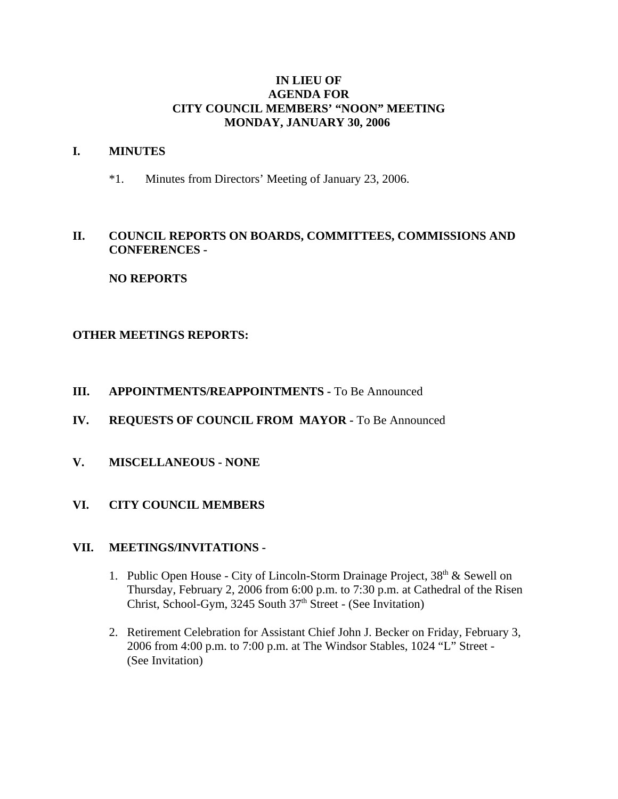### **IN LIEU OF AGENDA FOR CITY COUNCIL MEMBERS' "NOON" MEETING MONDAY, JANUARY 30, 2006**

#### **I. MINUTES**

\*1. Minutes from Directors' Meeting of January 23, 2006.

## **II. COUNCIL REPORTS ON BOARDS, COMMITTEES, COMMISSIONS AND CONFERENCES -**

# **NO REPORTS**

## **OTHER MEETINGS REPORTS:**

### **III.** APPOINTMENTS/REAPPOINTMENTS - To Be Announced

- **IV. REQUESTS OF COUNCIL FROM MAYOR -** To Be Announced
- **V. MISCELLANEOUS NONE**

## **VI. CITY COUNCIL MEMBERS**

#### **VII. MEETINGS/INVITATIONS -**

- 1. Public Open House City of Lincoln-Storm Drainage Project,  $38<sup>th</sup>$  & Sewell on Thursday, February 2, 2006 from 6:00 p.m. to 7:30 p.m. at Cathedral of the Risen Christ, School-Gym, 3245 South 37<sup>th</sup> Street - (See Invitation)
- 2. Retirement Celebration for Assistant Chief John J. Becker on Friday, February 3, 2006 from 4:00 p.m. to 7:00 p.m. at The Windsor Stables, 1024 "L" Street - (See Invitation)